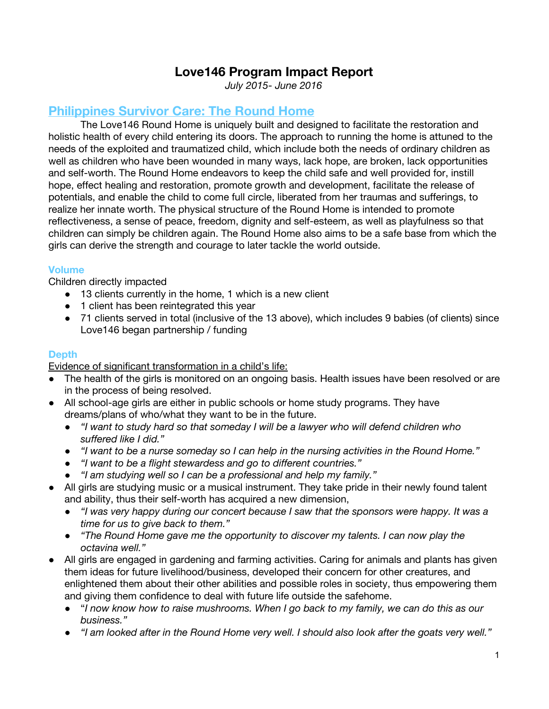# **Love146 Program Impact Report**

*July 2015- June 2016*

# **Philippines Survivor Care: The Round Home**

The Love146 Round Home is uniquely built and designed to facilitate the restoration and holistic health of every child entering its doors. The approach to running the home is attuned to the needs of the exploited and traumatized child, which include both the needs of ordinary children as well as children who have been wounded in many ways, lack hope, are broken, lack opportunities and self-worth. The Round Home endeavors to keep the child safe and well provided for, instill hope, effect healing and restoration, promote growth and development, facilitate the release of potentials, and enable the child to come full circle, liberated from her traumas and sufferings, to realize her innate worth. The physical structure of the Round Home is intended to promote reflectiveness, a sense of peace, freedom, dignity and self-esteem, as well as playfulness so that children can simply be children again. The Round Home also aims to be a safe base from which the girls can derive the strength and courage to later tackle the world outside.

#### **Volume**

Children directly impacted

- 13 clients currently in the home, 1 which is a new client
- 1 client has been reintegrated this year
- 71 clients served in total (inclusive of the 13 above), which includes 9 babies (of clients) since Love146 began partnership / funding

## **Depth**

Evidence of significant transformation in a child's life:

- The health of the girls is monitored on an ongoing basis. Health issues have been resolved or are in the process of being resolved.
- All school-age girls are either in public schools or home study programs. They have dreams/plans of who/what they want to be in the future.
	- *● "I want to study hard so that someday I will be a lawyer who will defend children who suffered like I did."*
	- *● "I want to be a nurse someday so I can help in the nursing activities in the Round Home."*
	- *● "I want to be a flight stewardess and go to different countries."*
	- *● "I am studying well so I can be a professional and help my family."*
- All girls are studying music or a musical instrument. They take pride in their newly found talent and ability, thus their self-worth has acquired a new dimension,
	- *● "I was very happy during our concert because I saw that the sponsors were happy. It was a time for us to give back to them."*
	- *● "The Round Home gave me the opportunity to discover my talents. I can now play the octavina well."*
- All girls are engaged in gardening and farming activities. Caring for animals and plants has given them ideas for future livelihood/business, developed their concern for other creatures, and enlightened them about their other abilities and possible roles in society, thus empowering them and giving them confidence to deal with future life outside the safehome.
	- "*I now know how to raise mushrooms. When I go back to my family, we can do this as our business."*
	- *"I am looked after in the Round Home very well. I should also look after the goats very well."*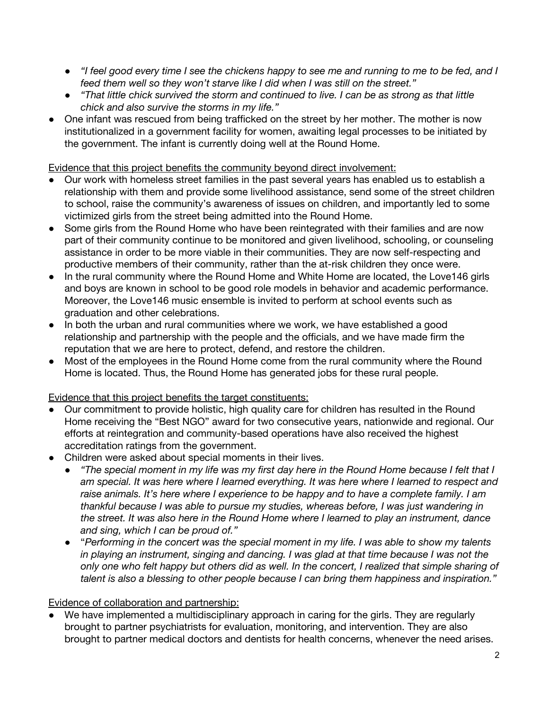- *"I feel good every time I see the chickens happy to see me and running to me to be fed, and I feed them well so they won't starve like I did when I was still on the street."*
- *"That little chick survived the storm and continued to live. I can be as strong as that little chick and also survive the storms in my life."*
- One infant was rescued from being trafficked on the street by her mother. The mother is now institutionalized in a government facility for women, awaiting legal processes to be initiated by the government. The infant is currently doing well at the Round Home.

Evidence that this project benefits the community beyond direct involvement:

- Our work with homeless street families in the past several years has enabled us to establish a relationship with them and provide some livelihood assistance, send some of the street children to school, raise the community's awareness of issues on children, and importantly led to some victimized girls from the street being admitted into the Round Home.
- Some girls from the Round Home who have been reintegrated with their families and are now part of their community continue to be monitored and given livelihood, schooling, or counseling assistance in order to be more viable in their communities. They are now self-respecting and productive members of their community, rather than the at-risk children they once were.
- In the rural community where the Round Home and White Home are located, the Love146 girls and boys are known in school to be good role models in behavior and academic performance. Moreover, the Love146 music ensemble is invited to perform at school events such as graduation and other celebrations.
- In both the urban and rural communities where we work, we have established a good relationship and partnership with the people and the officials, and we have made firm the reputation that we are here to protect, defend, and restore the children.
- Most of the employees in the Round Home come from the rural community where the Round Home is located. Thus, the Round Home has generated jobs for these rural people.

## Evidence that this project benefits the target constituents:

- Our commitment to provide holistic, high quality care for children has resulted in the Round Home receiving the "Best NGO" award for two consecutive years, nationwide and regional. Our efforts at reintegration and community-based operations have also received the highest accreditation ratings from the government.
- Children were asked about special moments in their lives.
	- *"The special moment in my life was my first day here in the Round Home because I felt that I am special. It was here where I learned everything. It was here where I learned to respect and raise animals. It's here where I experience to be happy and to have a complete family. I am thankful because I was able to pursue my studies, whereas before, I was just wandering in the street. It was also here in the Round Home where I learned to play an instrument, dance and sing, which I can be proud of."*
	- "*Performing in the concert was the special moment in my life. I was able to show my talents in playing an instrument, singing and dancing. I was glad at that time because I was not the only one who felt happy but others did as well. In the concert, I realized that simple sharing of talent is also a blessing to other people because I can bring them happiness and inspiration."*

## Evidence of collaboration and partnership:

We have implemented a multidisciplinary approach in caring for the girls. They are regularly brought to partner psychiatrists for evaluation, monitoring, and intervention. They are also brought to partner medical doctors and dentists for health concerns, whenever the need arises.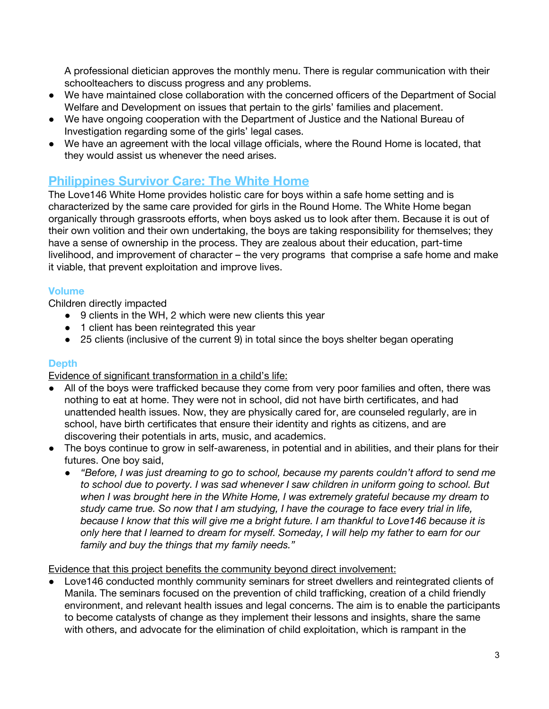A professional dietician approves the monthly menu. There is regular communication with their schoolteachers to discuss progress and any problems.

- We have maintained close collaboration with the concerned officers of the Department of Social Welfare and Development on issues that pertain to the girls' families and placement.
- We have ongoing cooperation with the Department of Justice and the National Bureau of Investigation regarding some of the girls' legal cases.
- We have an agreement with the local village officials, where the Round Home is located, that they would assist us whenever the need arises.

# **Philippines Survivor Care: The White Home**

The Love146 White Home provides holistic care for boys within a safe home setting and is characterized by the same care provided for girls in the Round Home. The White Home began organically through grassroots efforts, when boys asked us to look after them. Because it is out of their own volition and their own undertaking, the boys are taking responsibility for themselves; they have a sense of ownership in the process. They are zealous about their education, part-time livelihood, and improvement of character – the very programs that comprise a safe home and make it viable, that prevent exploitation and improve lives.

## **Volume**

Children directly impacted

- 9 clients in the WH, 2 which were new clients this year
- 1 client has been reintegrated this year
- 25 clients (inclusive of the current 9) in total since the boys shelter began operating

## **Depth**

Evidence of significant transformation in a child's life:

- All of the boys were trafficked because they come from very poor families and often, there was nothing to eat at home. They were not in school, did not have birth certificates, and had unattended health issues. Now, they are physically cared for, are counseled regularly, are in school, have birth certificates that ensure their identity and rights as citizens, and are discovering their potentials in arts, music, and academics.
- The boys continue to grow in self-awareness, in potential and in abilities, and their plans for their futures. One boy said,
	- *● "Before, I was just dreaming to go to school, because my parents couldn't afford to send me to school due to poverty. I was sad whenever I saw children in uniform going to school. But when I was brought here in the White Home, I was extremely grateful because my dream to study came true. So now that I am studying, I have the courage to face every trial in life, because I know that this will give me a bright future. I am thankful to Love146 because it is only here that I learned to dream for myself. Someday, I will help my father to earn for our family and buy the things that my family needs."*

## Evidence that this project benefits the community beyond direct involvement:

● Love146 conducted monthly community seminars for street dwellers and reintegrated clients of Manila. The seminars focused on the prevention of child trafficking, creation of a child friendly environment, and relevant health issues and legal concerns. The aim is to enable the participants to become catalysts of change as they implement their lessons and insights, share the same with others, and advocate for the elimination of child exploitation, which is rampant in the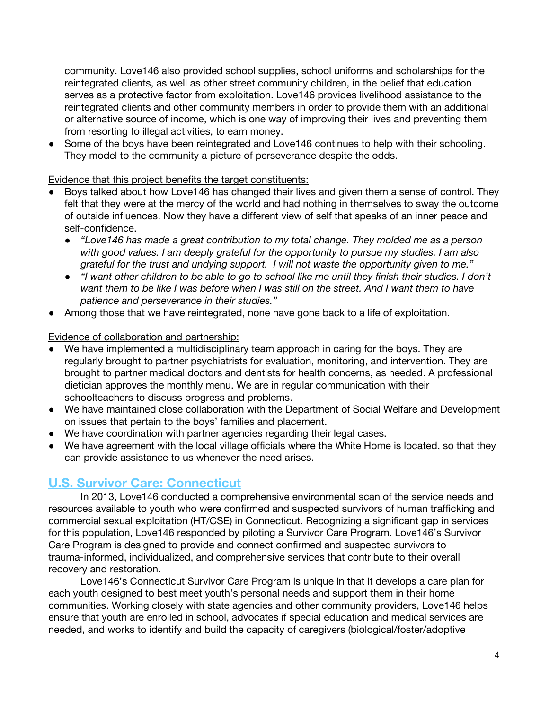community. Love146 also provided school supplies, school uniforms and scholarships for the reintegrated clients, as well as other street community children, in the belief that education serves as a protective factor from exploitation. Love146 provides livelihood assistance to the reintegrated clients and other community members in order to provide them with an additional or alternative source of income, which is one way of improving their lives and preventing them from resorting to illegal activities, to earn money.

• Some of the boys have been reintegrated and Love 146 continues to help with their schooling. They model to the community a picture of perseverance despite the odds.

#### Evidence that this project benefits the target constituents:

- Boys talked about how Love146 has changed their lives and given them a sense of control. They felt that they were at the mercy of the world and had nothing in themselves to sway the outcome of outside influences. Now they have a different view of self that speaks of an inner peace and self-confidence.
	- *"Love146 has made a great contribution to my total change. They molded me as a person with good values. I am deeply grateful for the opportunity to pursue my studies. I am also grateful for the trust and undying support. I will not waste the opportunity given to me."*
	- *● "I want other children to be able to go to school like me until they finish their studies. I don't want them to be like I was before when I was still on the street. And I want them to have patience and perseverance in their studies."*
- Among those that we have reintegrated, none have gone back to a life of exploitation.

#### Evidence of collaboration and partnership:

- We have implemented a multidisciplinary team approach in caring for the boys. They are regularly brought to partner psychiatrists for evaluation, monitoring, and intervention. They are brought to partner medical doctors and dentists for health concerns, as needed. A professional dietician approves the monthly menu. We are in regular communication with their schoolteachers to discuss progress and problems.
- We have maintained close collaboration with the Department of Social Welfare and Development on issues that pertain to the boys' families and placement.
- We have coordination with partner agencies regarding their legal cases.
- We have agreement with the local village officials where the White Home is located, so that they can provide assistance to us whenever the need arises.

## **U.S. Survivor Care: Connecticut**

In 2013, Love146 conducted a comprehensive environmental scan of the service needs and resources available to youth who were confirmed and suspected survivors of human trafficking and commercial sexual exploitation (HT/CSE) in Connecticut. Recognizing a significant gap in services for this population, Love146 responded by piloting a Survivor Care Program. Love146's Survivor Care Program is designed to provide and connect confirmed and suspected survivors to trauma-informed, individualized, and comprehensive services that contribute to their overall recovery and restoration.

Love146's Connecticut Survivor Care Program is unique in that it develops a care plan for each youth designed to best meet youth's personal needs and support them in their home communities. Working closely with state agencies and other community providers, Love146 helps ensure that youth are enrolled in school, advocates if special education and medical services are needed, and works to identify and build the capacity of caregivers (biological/foster/adoptive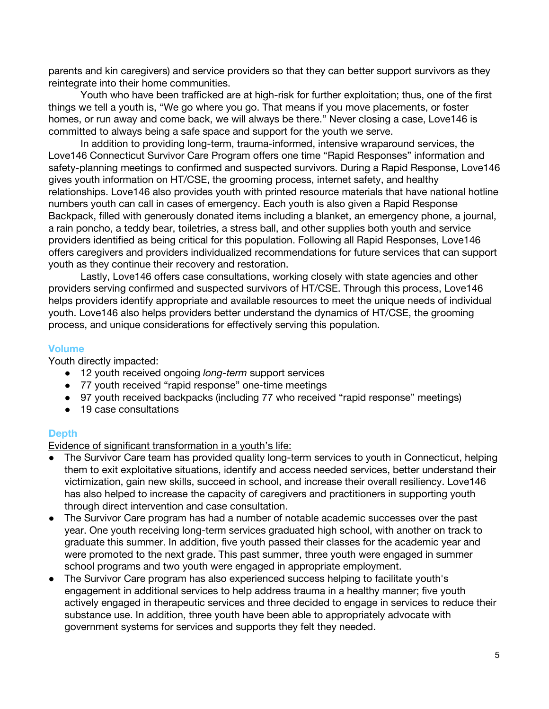parents and kin caregivers) and service providers so that they can better support survivors as they reintegrate into their home communities.

Youth who have been trafficked are at high-risk for further exploitation; thus, one of the first things we tell a youth is, "We go where you go. That means if you move placements, or foster homes, or run away and come back, we will always be there." Never closing a case, Love146 is committed to always being a safe space and support for the youth we serve.

In addition to providing long-term, trauma-informed, intensive wraparound services, the Love146 Connecticut Survivor Care Program offers one time "Rapid Responses" information and safety-planning meetings to confirmed and suspected survivors. During a Rapid Response, Love146 gives youth information on HT/CSE, the grooming process, internet safety, and healthy relationships. Love146 also provides youth with printed resource materials that have national hotline numbers youth can call in cases of emergency. Each youth is also given a Rapid Response Backpack, filled with generously donated items including a blanket, an emergency phone, a journal, a rain poncho, a teddy bear, toiletries, a stress ball, and other supplies both youth and service providers identified as being critical for this population. Following all Rapid Responses, Love146 offers caregivers and providers individualized recommendations for future services that can support youth as they continue their recovery and restoration.

Lastly, Love146 offers case consultations, working closely with state agencies and other providers serving confirmed and suspected survivors of HT/CSE. Through this process, Love146 helps providers identify appropriate and available resources to meet the unique needs of individual youth. Love146 also helps providers better understand the dynamics of HT/CSE, the grooming process, and unique considerations for effectively serving this population.

#### **Volume**

Youth directly impacted:

- 12 youth received ongoing *long-term* support services
- 77 youth received "rapid response" one-time meetings
- 97 youth received backpacks (including 77 who received "rapid response" meetings)
- 19 case consultations

#### **Depth**

Evidence of significant transformation in a youth's life:

- The Survivor Care team has provided quality long-term services to youth in Connecticut, helping them to exit exploitative situations, identify and access needed services, better understand their victimization, gain new skills, succeed in school, and increase their overall resiliency. Love146 has also helped to increase the capacity of caregivers and practitioners in supporting youth through direct intervention and case consultation.
- The Survivor Care program has had a number of notable academic successes over the past year. One youth receiving long-term services graduated high school, with another on track to graduate this summer. In addition, five youth passed their classes for the academic year and were promoted to the next grade. This past summer, three youth were engaged in summer school programs and two youth were engaged in appropriate employment.
- The Survivor Care program has also experienced success helping to facilitate youth's engagement in additional services to help address trauma in a healthy manner; five youth actively engaged in therapeutic services and three decided to engage in services to reduce their substance use. In addition, three youth have been able to appropriately advocate with government systems for services and supports they felt they needed.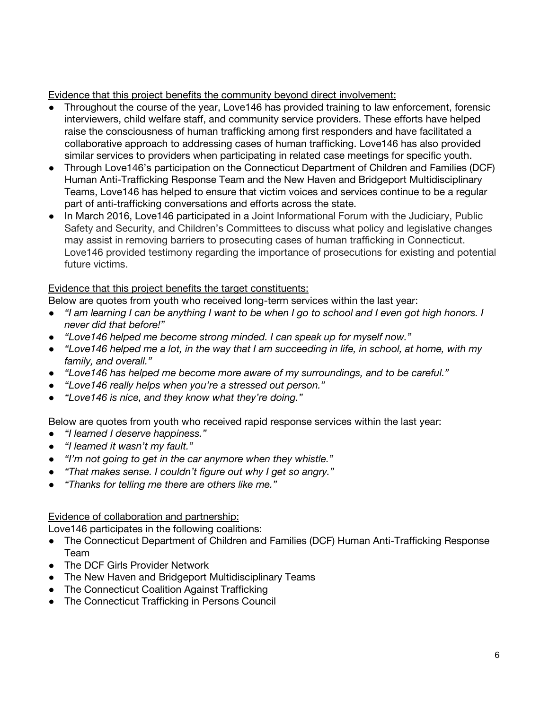Evidence that this project benefits the community beyond direct involvement:

- Throughout the course of the year, Love146 has provided training to law enforcement, forensic interviewers, child welfare staff, and community service providers. These efforts have helped raise the consciousness of human trafficking among first responders and have facilitated a collaborative approach to addressing cases of human trafficking. Love146 has also provided similar services to providers when participating in related case meetings for specific youth.
- Through Love146's participation on the Connecticut Department of Children and Families (DCF) Human Anti-Trafficking Response Team and the New Haven and Bridgeport Multidisciplinary Teams, Love146 has helped to ensure that victim voices and services continue to be a regular part of anti-trafficking conversations and efforts across the state.
- In March 2016, Love146 participated in a Joint Informational Forum with the Judiciary, Public Safety and Security, and Children's Committees to discuss what policy and legislative changes may assist in removing barriers to prosecuting cases of human trafficking in Connecticut. Love146 provided testimony regarding the importance of prosecutions for existing and potential future victims.

## Evidence that this project benefits the target constituents:

Below are quotes from youth who received long-term services within the last year:

- *● "I am learning I can be anything I want to be when I go to school and I even got high honors. I never did that before!"*
- *● "Love146 helped me become strong minded. I can speak up for myself now."*
- *● "Love146 helped me a lot, in the way that I am succeeding in life, in school, at home, with my family, and overall."*
- *● "Love146 has helped me become more aware of my surroundings, and to be careful."*
- *● "Love146 really helps when you're a stressed out person."*
- *● "Love146 is nice, and they know what they're doing."*

Below are quotes from youth who received rapid response services within the last year:

- *● "I learned I deserve happiness."*
- *● "I learned it wasn't my fault."*
- *● "I'm not going to get in the car anymore when they whistle."*
- *● "That makes sense. I couldn't figure out why I get so angry."*
- *● "Thanks for telling me there are others like me."*

## Evidence of collaboration and partnership:

Love146 participates in the following coalitions:

- The Connecticut Department of Children and Families (DCF) Human Anti-Trafficking Response Team
- The DCF Girls Provider Network
- The New Haven and Bridgeport Multidisciplinary Teams
- The Connecticut Coalition Against Trafficking
- The Connecticut Trafficking in Persons Council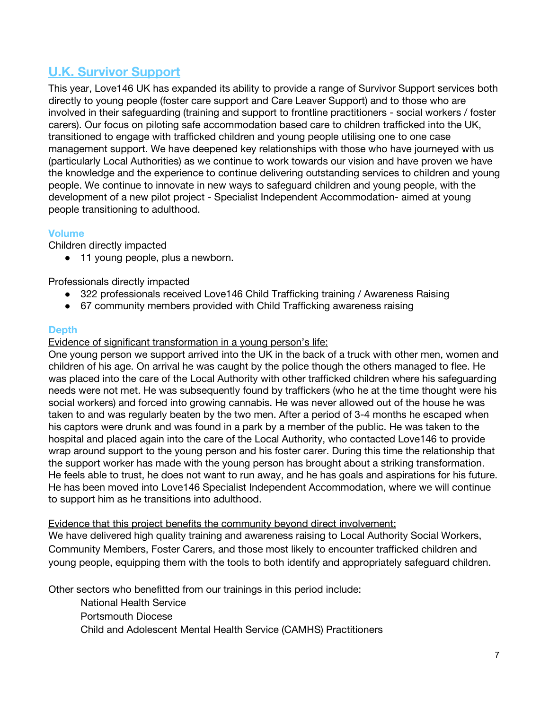# **U.K. Survivor Support**

This year, Love146 UK has expanded its ability to provide a range of Survivor Support services both directly to young people (foster care support and Care Leaver Support) and to those who are involved in their safeguarding (training and support to frontline practitioners - social workers / foster carers). Our focus on piloting safe accommodation based care to children trafficked into the UK, transitioned to engage with trafficked children and young people utilising one to one case management support. We have deepened key relationships with those who have journeyed with us (particularly Local Authorities) as we continue to work towards our vision and have proven we have the knowledge and the experience to continue delivering outstanding services to children and young people. We continue to innovate in new ways to safeguard children and young people, with the development of a new pilot project - Specialist Independent Accommodation- aimed at young people transitioning to adulthood.

## **Volume**

Children directly impacted

● 11 young people, plus a newborn.

Professionals directly impacted

- 322 professionals received Love146 Child Trafficking training / Awareness Raising
- 67 community members provided with Child Trafficking awareness raising

## **Depth**

## Evidence of significant transformation in a young person's life:

One young person we support arrived into the UK in the back of a truck with other men, women and children of his age. On arrival he was caught by the police though the others managed to flee. He was placed into the care of the Local Authority with other trafficked children where his safeguarding needs were not met. He was subsequently found by traffickers (who he at the time thought were his social workers) and forced into growing cannabis. He was never allowed out of the house he was taken to and was regularly beaten by the two men. After a period of 3-4 months he escaped when his captors were drunk and was found in a park by a member of the public. He was taken to the hospital and placed again into the care of the Local Authority, who contacted Love146 to provide wrap around support to the young person and his foster carer. During this time the relationship that the support worker has made with the young person has brought about a striking transformation. He feels able to trust, he does not want to run away, and he has goals and aspirations for his future. He has been moved into Love146 Specialist Independent Accommodation, where we will continue to support him as he transitions into adulthood.

## Evidence that this project benefits the community beyond direct involvement:

We have delivered high quality training and awareness raising to Local Authority Social Workers, Community Members, Foster Carers, and those most likely to encounter trafficked children and young people, equipping them with the tools to both identify and appropriately safeguard children.

Other sectors who benefitted from our trainings in this period include:

National Health Service

Portsmouth Diocese

Child and Adolescent Mental Health Service (CAMHS) Practitioners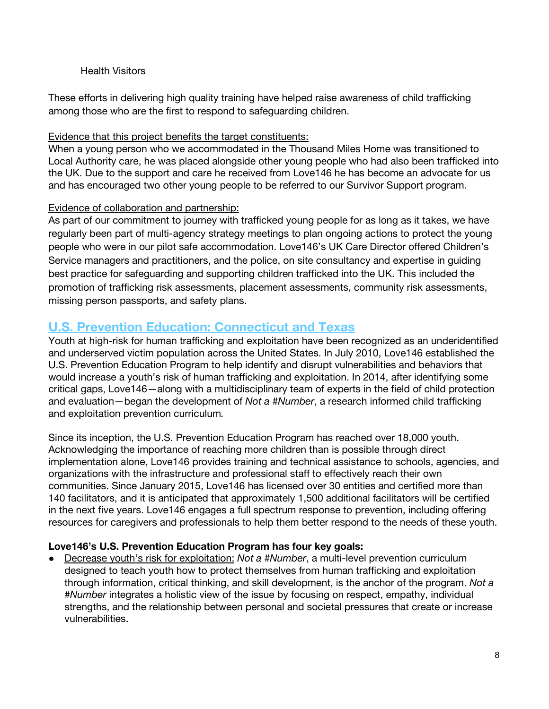### Health Visitors

These efforts in delivering high quality training have helped raise awareness of child trafficking among those who are the first to respond to safeguarding children.

### Evidence that this project benefits the target constituents:

When a young person who we accommodated in the Thousand Miles Home was transitioned to Local Authority care, he was placed alongside other young people who had also been trafficked into the UK. Due to the support and care he received from Love146 he has become an advocate for us and has encouraged two other young people to be referred to our Survivor Support program.

## Evidence of collaboration and partnership:

As part of our commitment to journey with trafficked young people for as long as it takes, we have regularly been part of multi-agency strategy meetings to plan ongoing actions to protect the young people who were in our pilot safe accommodation. Love146's UK Care Director offered Children's Service managers and practitioners, and the police, on site consultancy and expertise in guiding best practice for safeguarding and supporting children trafficked into the UK. This included the promotion of trafficking risk assessments, placement assessments, community risk assessments, missing person passports, and safety plans.

## **U.S. Prevention Education: Connecticut and Texas**

Youth at high-risk for human trafficking and exploitation have been recognized as an underidentified and underserved victim population across the United States. In July 2010, Love146 established the U.S. Prevention Education Program to help identify and disrupt vulnerabilities and behaviors that would increase a youth's risk of human trafficking and exploitation. In 2014, after identifying some critical gaps, Love146—along with a multidisciplinary team of experts in the field of child protection and evaluation—began the development of *Not a #Number*, a research informed child trafficking and exploitation prevention curriculum*.*

Since its inception, the U.S. Prevention Education Program has reached over 18,000 youth. Acknowledging the importance of reaching more children than is possible through direct implementation alone, Love146 provides training and technical assistance to schools, agencies, and organizations with the infrastructure and professional staff to effectively reach their own communities. Since January 2015, Love146 has licensed over 30 entities and certified more than 140 facilitators, and it is anticipated that approximately 1,500 additional facilitators will be certified in the next five years. Love146 engages a full spectrum response to prevention, including offering resources for caregivers and professionals to help them better respond to the needs of these youth.

## **Love146's U.S. Prevention Education Program has four key goals:**

Decrease youth's risk for exploitation: *Not a #Number*, a multi-level prevention curriculum designed to teach youth how to protect themselves from human trafficking and exploitation through information, critical thinking, and skill development, is the anchor of the program. *Not a #Number* integrates a holistic view of the issue by focusing on respect, empathy, individual strengths, and the relationship between personal and societal pressures that create or increase vulnerabilities.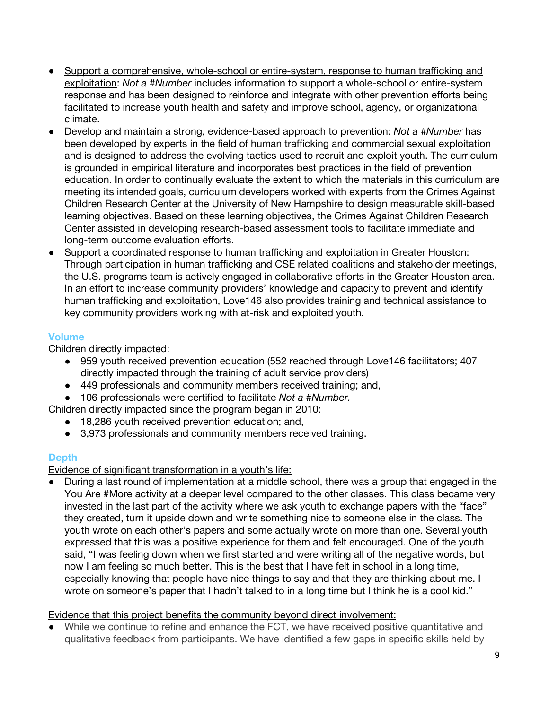- Support a comprehensive, whole-school or entire-system, response to human trafficking and exploitation: *Not a #Number* includes information to support a whole-school or entire-system response and has been designed to reinforce and integrate with other prevention efforts being facilitated to increase youth health and safety and improve school, agency, or organizational climate.
- Develop and maintain a strong, evidence-based approach to prevention: *Not a #Number* has been developed by experts in the field of human trafficking and commercial sexual exploitation and is designed to address the evolving tactics used to recruit and exploit youth. The curriculum is grounded in empirical literature and incorporates best practices in the field of prevention education. In order to continually evaluate the extent to which the materials in this curriculum are meeting its intended goals, curriculum developers worked with experts from the Crimes Against Children Research Center at the University of New Hampshire to design measurable skill-based learning objectives. Based on these learning objectives, the Crimes Against Children Research Center assisted in developing research-based assessment tools to facilitate immediate and long-term outcome evaluation efforts.
- Support a coordinated response to human trafficking and exploitation in Greater Houston: Through participation in human trafficking and CSE related coalitions and stakeholder meetings, the U.S. programs team is actively engaged in collaborative efforts in the Greater Houston area. In an effort to increase community providers' knowledge and capacity to prevent and identify human trafficking and exploitation, Love146 also provides training and technical assistance to key community providers working with at-risk and exploited youth.

## **Volume**

Children directly impacted:

- 959 youth received prevention education (552 reached through Love146 facilitators; 407 directly impacted through the training of adult service providers)
- 449 professionals and community members received training; and,
- 106 professionals were certified to facilitate *Not a #Number.*

Children directly impacted since the program began in 2010:

- 18,286 youth received prevention education; and,
- 3,973 professionals and community members received training.

## **Depth**

Evidence of significant transformation in a youth's life:

During a last round of implementation at a middle school, there was a group that engaged in the You Are #More activity at a deeper level compared to the other classes. This class became very invested in the last part of the activity where we ask youth to exchange papers with the "face" they created, turn it upside down and write something nice to someone else in the class. The youth wrote on each other's papers and some actually wrote on more than one. Several youth expressed that this was a positive experience for them and felt encouraged. One of the youth said, "I was feeling down when we first started and were writing all of the negative words, but now I am feeling so much better. This is the best that I have felt in school in a long time, especially knowing that people have nice things to say and that they are thinking about me. I wrote on someone's paper that I hadn't talked to in a long time but I think he is a cool kid."

## Evidence that this project benefits the community beyond direct involvement:

● While we continue to refine and enhance the FCT, we have received positive quantitative and qualitative feedback from participants. We have identified a few gaps in specific skills held by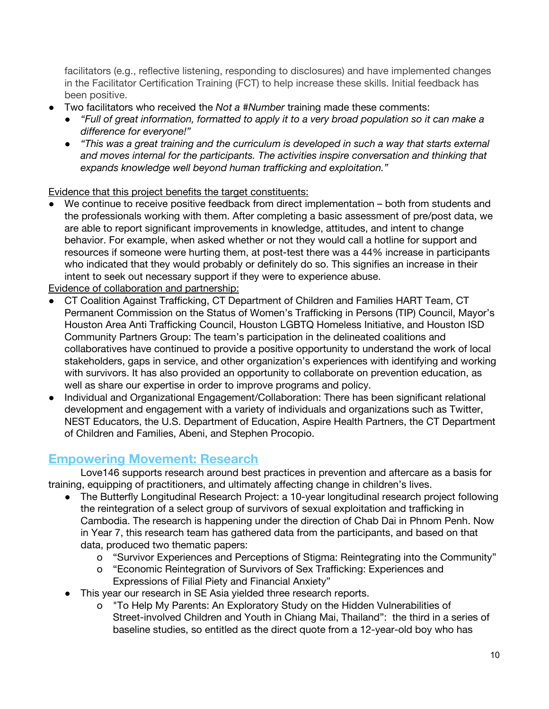facilitators (e.g., reflective listening, responding to disclosures) and have implemented changes in the Facilitator Certification Training (FCT) to help increase these skills. Initial feedback has been positive.

- Two facilitators who received the *Not a #Number* training made these comments:
	- *● "Full of great information, formatted to apply it to a very broad population so it can make a difference for everyone!"*
	- *● "This was a great training and the curriculum is developed in such a way that starts external and moves internal for the participants. The activities inspire conversation and thinking that expands knowledge well beyond human trafficking and exploitation."*

Evidence that this project benefits the target constituents:

We continue to receive positive feedback from direct implementation – both from students and the professionals working with them. After completing a basic assessment of pre/post data, we are able to report significant improvements in knowledge, attitudes, and intent to change behavior. For example, when asked whether or not they would call a hotline for support and resources if someone were hurting them, at post-test there was a 44% increase in participants who indicated that they would probably or definitely do so. This signifies an increase in their intent to seek out necessary support if they were to experience abuse.

Evidence of collaboration and partnership:

- CT Coalition Against Trafficking, CT Department of Children and Families HART Team, CT Permanent Commission on the Status of Women's Trafficking in Persons (TIP) Council, Mayor's Houston Area Anti Trafficking Council, Houston LGBTQ Homeless Initiative, and Houston ISD Community Partners Group: The team's participation in the delineated coalitions and collaboratives have continued to provide a positive opportunity to understand the work of local stakeholders, gaps in service, and other organization's experiences with identifying and working with survivors. It has also provided an opportunity to collaborate on prevention education, as well as share our expertise in order to improve programs and policy.
- Individual and Organizational Engagement/Collaboration: There has been significant relational development and engagement with a variety of individuals and organizations such as Twitter, NEST Educators, the U.S. Department of Education, Aspire Health Partners, the CT Department of Children and Families, Abeni, and Stephen Procopio.

## **Empowering Movement: Research**

Love146 supports research around best practices in prevention and aftercare as a basis for training, equipping of practitioners, and ultimately affecting change in children's lives.

- The Butterfly Longitudinal Research Project: a 10-year longitudinal research project following the reintegration of a select group of survivors of sexual exploitation and trafficking in Cambodia. The research is happening under the direction of Chab Dai in Phnom Penh. Now in Year 7, this research team has gathered data from the participants, and based on that data, produced two thematic papers:
	- o "Survivor Experiences and Perceptions of Stigma: Reintegrating into the Community"
	- o "Economic Reintegration of Survivors of Sex Trafficking: Experiences and Expressions of Filial Piety and Financial Anxiety"
- This year our research in SE Asia yielded three research reports.
	- o "To Help My Parents: An Exploratory Study on the Hidden Vulnerabilities of Street-involved Children and Youth in Chiang Mai, Thailand": the third in a series of baseline studies, so entitled as the direct quote from a 12-year-old boy who has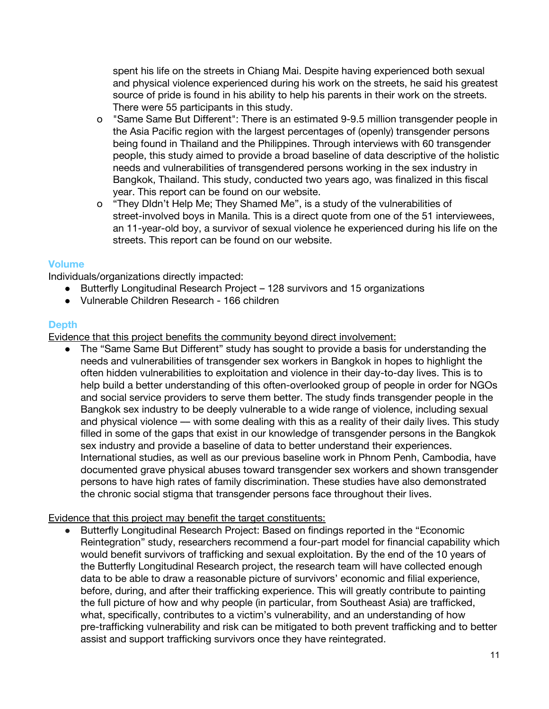spent his life on the streets in Chiang Mai. Despite having experienced both sexual and physical violence experienced during his work on the streets, he said his greatest source of pride is found in his ability to help his parents in their work on the streets. There were 55 participants in this study.

- o "Same Same But Different": There is an estimated 9-9.5 million transgender people in the Asia Pacific region with the largest percentages of (openly) transgender persons being found in Thailand and the Philippines. Through interviews with 60 transgender people, this study aimed to provide a broad baseline of data descriptive of the holistic needs and vulnerabilities of transgendered persons working in the sex industry in Bangkok, Thailand. This study, conducted two years ago, was finalized in this fiscal year. This report can be found on our website.
- o "They DIdn't Help Me; They Shamed Me", is a study of the vulnerabilities of street-involved boys in Manila. This is a direct quote from one of the 51 interviewees, an 11-year-old boy, a survivor of sexual violence he experienced during his life on the streets. This report can be found on our website.

#### **Volume**

Individuals/organizations directly impacted:

- Butterfly Longitudinal Research Project 128 survivors and 15 organizations
- Vulnerable Children Research 166 children

#### **Depth**

Evidence that this project benefits the community beyond direct involvement:

● The "Same Same But Different" study has sought to provide a basis for understanding the needs and vulnerabilities of transgender sex workers in Bangkok in hopes to highlight the often hidden vulnerabilities to exploitation and violence in their day-to-day lives. This is to help build a better understanding of this often-overlooked group of people in order for NGOs and social service providers to serve them better. The study finds transgender people in the Bangkok sex industry to be deeply vulnerable to a wide range of violence, including sexual and physical violence — with some dealing with this as a reality of their daily lives. This study filled in some of the gaps that exist in our knowledge of transgender persons in the Bangkok sex industry and provide a baseline of data to better understand their experiences. International studies, as well as our previous baseline work in Phnom Penh, Cambodia, have documented grave physical abuses toward transgender sex workers and shown transgender persons to have high rates of family discrimination. These studies have also demonstrated the chronic social stigma that transgender persons face throughout their lives.

#### Evidence that this project may benefit the target constituents:

● Butterfly Longitudinal Research Project: Based on findings reported in the "Economic Reintegration" study, researchers recommend a four-part model for financial capability which would benefit survivors of trafficking and sexual exploitation. By the end of the 10 years of the Butterfly Longitudinal Research project, the research team will have collected enough data to be able to draw a reasonable picture of survivors' economic and filial experience, before, during, and after their trafficking experience. This will greatly contribute to painting the full picture of how and why people (in particular, from Southeast Asia) are trafficked, what, specifically, contributes to a victim's vulnerability, and an understanding of how pre-trafficking vulnerability and risk can be mitigated to both prevent trafficking and to better assist and support trafficking survivors once they have reintegrated.